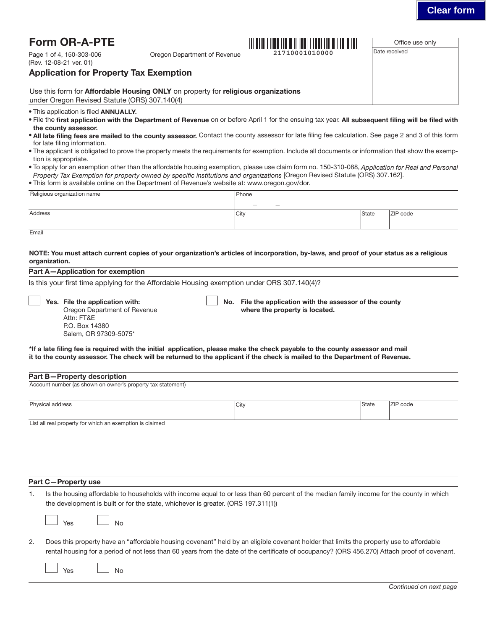| <b>Clear form</b> |  |
|-------------------|--|
|                   |  |

| Page 1 of 4, 150-303-006                                                                          |                                                                                                |                                                                                                                                                                                                                                                                                                                                                                                                                                                                 |              | Office use only |
|---------------------------------------------------------------------------------------------------|------------------------------------------------------------------------------------------------|-----------------------------------------------------------------------------------------------------------------------------------------------------------------------------------------------------------------------------------------------------------------------------------------------------------------------------------------------------------------------------------------------------------------------------------------------------------------|--------------|-----------------|
| (Rev. 12-08-21 ver. 01)                                                                           | Oregon Department of Revenue                                                                   |                                                                                                                                                                                                                                                                                                                                                                                                                                                                 |              | Date received   |
| <b>Application for Property Tax Exemption</b>                                                     |                                                                                                |                                                                                                                                                                                                                                                                                                                                                                                                                                                                 |              |                 |
| under Oregon Revised Statute (ORS) 307.140(4)                                                     | Use this form for Affordable Housing ONLY on property for religious organizations              |                                                                                                                                                                                                                                                                                                                                                                                                                                                                 |              |                 |
| • This application is filed <b>ANNUALLY.</b>                                                      |                                                                                                | . File the first application with the Department of Revenue on or before April 1 for the ensuing tax year. All subsequent filing will be filed with                                                                                                                                                                                                                                                                                                             |              |                 |
| the county assessor.<br>for late filing information.<br>tion is appropriate.                      |                                                                                                | . All late filing fees are mailed to the county assessor. Contact the county assessor for late filing fee calculation. See page 2 and 3 of this form<br>. The applicant is obligated to prove the property meets the requirements for exemption. Include all documents or information that show the exemp-<br>. To apply for an exemption other than the affordable housing exemption, please use claim form no. 150-310-088, Application for Real and Personal |              |                 |
|                                                                                                   | . This form is available online on the Department of Revenue's website at: www.oregon.gov/dor. | Property Tax Exemption for property owned by specific institutions and organizations [Oregon Revised Statute (ORS) 307.162].                                                                                                                                                                                                                                                                                                                                    |              |                 |
| Religious organization name                                                                       |                                                                                                | Phone                                                                                                                                                                                                                                                                                                                                                                                                                                                           |              |                 |
| <b>Address</b>                                                                                    |                                                                                                | City                                                                                                                                                                                                                                                                                                                                                                                                                                                            | State        | ZIP code        |
| Email                                                                                             |                                                                                                |                                                                                                                                                                                                                                                                                                                                                                                                                                                                 |              |                 |
|                                                                                                   |                                                                                                |                                                                                                                                                                                                                                                                                                                                                                                                                                                                 |              |                 |
| Salem, OR 97309-5075*                                                                             |                                                                                                | *If a late filing fee is required with the initial application, please make the check payable to the county assessor and mail<br>it to the county assessor. The check will be returned to the applicant if the check is mailed to the Department of Revenue.                                                                                                                                                                                                    |              |                 |
|                                                                                                   |                                                                                                |                                                                                                                                                                                                                                                                                                                                                                                                                                                                 |              |                 |
| <b>Part B-Property description</b><br>Account number (as shown on owner's property tax statement) |                                                                                                |                                                                                                                                                                                                                                                                                                                                                                                                                                                                 |              |                 |
| Physical address                                                                                  |                                                                                                | City                                                                                                                                                                                                                                                                                                                                                                                                                                                            | <b>State</b> | ZIP code        |
| List all real property for which an exemption is claimed                                          |                                                                                                |                                                                                                                                                                                                                                                                                                                                                                                                                                                                 |              |                 |
|                                                                                                   |                                                                                                |                                                                                                                                                                                                                                                                                                                                                                                                                                                                 |              |                 |
|                                                                                                   |                                                                                                |                                                                                                                                                                                                                                                                                                                                                                                                                                                                 |              |                 |
|                                                                                                   | the development is built or for the state, whichever is greater. (ORS 197.311(1))              | Is the housing affordable to households with income equal to or less than 60 percent of the median family income for the county in which                                                                                                                                                                                                                                                                                                                        |              |                 |
| Yes<br><b>No</b>                                                                                  |                                                                                                |                                                                                                                                                                                                                                                                                                                                                                                                                                                                 |              |                 |
| Part C-Property use<br>1.<br>2.                                                                   |                                                                                                | Does this property have an "affordable housing covenant" held by an eligible covenant holder that limits the property use to affordable<br>rental housing for a period of not less than 60 years from the date of the certificate of occupancy? (ORS 456.270) Attach proof of covenant.                                                                                                                                                                         |              |                 |
| <b>No</b><br>Yes                                                                                  |                                                                                                |                                                                                                                                                                                                                                                                                                                                                                                                                                                                 |              |                 |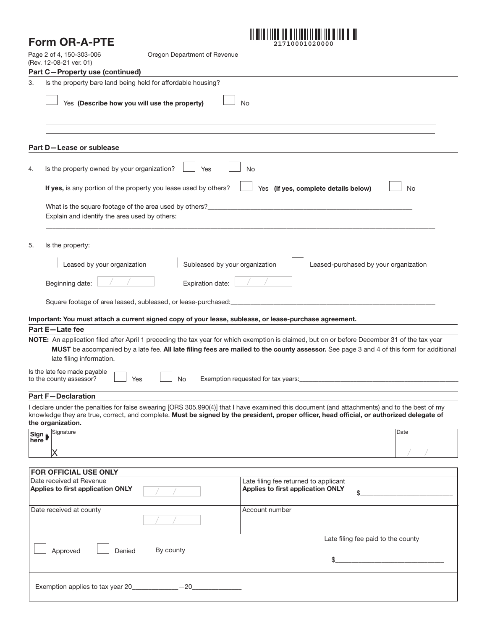# Form OR-A-PTE



| Page 2 of 4, 150-303-006<br>Oregon Department of Revenue<br>(Rev. 12-08-21 ver. 01) |                                                                                                                                                                                                                                                                                                                                                                                                                |                                         |                                                                                                                                                                                                                                |  |  |  |  |
|-------------------------------------------------------------------------------------|----------------------------------------------------------------------------------------------------------------------------------------------------------------------------------------------------------------------------------------------------------------------------------------------------------------------------------------------------------------------------------------------------------------|-----------------------------------------|--------------------------------------------------------------------------------------------------------------------------------------------------------------------------------------------------------------------------------|--|--|--|--|
|                                                                                     | Part C-Property use (continued)                                                                                                                                                                                                                                                                                                                                                                                |                                         |                                                                                                                                                                                                                                |  |  |  |  |
| 3.                                                                                  |                                                                                                                                                                                                                                                                                                                                                                                                                |                                         |                                                                                                                                                                                                                                |  |  |  |  |
|                                                                                     | Yes (Describe how you will use the property)<br>No                                                                                                                                                                                                                                                                                                                                                             |                                         |                                                                                                                                                                                                                                |  |  |  |  |
|                                                                                     |                                                                                                                                                                                                                                                                                                                                                                                                                |                                         |                                                                                                                                                                                                                                |  |  |  |  |
|                                                                                     | Part D-Lease or sublease                                                                                                                                                                                                                                                                                                                                                                                       |                                         |                                                                                                                                                                                                                                |  |  |  |  |
| 4.                                                                                  | Is the property owned by your organization?<br>Yes                                                                                                                                                                                                                                                                                                                                                             | No                                      |                                                                                                                                                                                                                                |  |  |  |  |
|                                                                                     | If yes, is any portion of the property you lease used by others?<br>Yes (If yes, complete details below)<br>No<br>What is the square footage of the area used by others?_<br><u> 1990 - Johann Stein, marwolaethau a bhann an t-Amhain an t-Amhain an t-Amhain an t-Amhain an t-Amhain an t-A</u><br>Explain and identify the area used by others: ___________________________________                         |                                         |                                                                                                                                                                                                                                |  |  |  |  |
|                                                                                     |                                                                                                                                                                                                                                                                                                                                                                                                                |                                         |                                                                                                                                                                                                                                |  |  |  |  |
| 5.                                                                                  | Is the property:                                                                                                                                                                                                                                                                                                                                                                                               |                                         |                                                                                                                                                                                                                                |  |  |  |  |
|                                                                                     | Subleased by your organization<br>Leased by your organization                                                                                                                                                                                                                                                                                                                                                  |                                         | Leased-purchased by your organization                                                                                                                                                                                          |  |  |  |  |
|                                                                                     | Beginning date:<br>Expiration date:                                                                                                                                                                                                                                                                                                                                                                            |                                         |                                                                                                                                                                                                                                |  |  |  |  |
|                                                                                     | Square footage of area leased, subleased, or lease-purchased:                                                                                                                                                                                                                                                                                                                                                  |                                         |                                                                                                                                                                                                                                |  |  |  |  |
|                                                                                     | Important: You must attach a current signed copy of your lease, sublease, or lease-purchase agreement.                                                                                                                                                                                                                                                                                                         |                                         |                                                                                                                                                                                                                                |  |  |  |  |
|                                                                                     | Part E-Late fee<br>NOTE: An application filed after April 1 preceding the tax year for which exemption is claimed, but on or before December 31 of the tax year<br>MUST be accompanied by a late fee. All late filing fees are mailed to the county assessor. See page 3 and 4 of this form for additional<br>late filing information.<br>Is the late fee made payable<br>No<br>to the county assessor?<br>Yes |                                         | Exemption requested for tax years: exercise the contract of the contract of the contract of the contract of the contract of the contract of the contract of the contract of the contract of the contract of the contract of th |  |  |  |  |
|                                                                                     | <b>Part F-Declaration</b>                                                                                                                                                                                                                                                                                                                                                                                      |                                         |                                                                                                                                                                                                                                |  |  |  |  |
|                                                                                     | I declare under the penalties for false swearing [ORS 305.990(4)] that I have examined this document (and attachments) and to the best of my<br>knowledge they are true, correct, and complete. Must be signed by the president, proper officer, head official, or authorized delegate of<br>the organization.                                                                                                 |                                         |                                                                                                                                                                                                                                |  |  |  |  |
| Sign $\biguplus$                                                                    | Signature<br>х                                                                                                                                                                                                                                                                                                                                                                                                 |                                         | Date                                                                                                                                                                                                                           |  |  |  |  |
|                                                                                     |                                                                                                                                                                                                                                                                                                                                                                                                                |                                         |                                                                                                                                                                                                                                |  |  |  |  |
|                                                                                     | FOR OFFICIAL USE ONLY<br>Date received at Revenue                                                                                                                                                                                                                                                                                                                                                              | Late filing fee returned to applicant   |                                                                                                                                                                                                                                |  |  |  |  |
|                                                                                     | Applies to first application ONLY                                                                                                                                                                                                                                                                                                                                                                              | Applies to first application ONLY<br>\$ |                                                                                                                                                                                                                                |  |  |  |  |
|                                                                                     | Date received at county                                                                                                                                                                                                                                                                                                                                                                                        | Account number                          |                                                                                                                                                                                                                                |  |  |  |  |
|                                                                                     | Approved<br>Denied                                                                                                                                                                                                                                                                                                                                                                                             |                                         | Late filing fee paid to the county<br><u> La Carlo Carlo Carlo Carlo Carlo Carlo Ca</u><br>\$                                                                                                                                  |  |  |  |  |
|                                                                                     | Exemption applies to tax year 20______________- -20_                                                                                                                                                                                                                                                                                                                                                           |                                         |                                                                                                                                                                                                                                |  |  |  |  |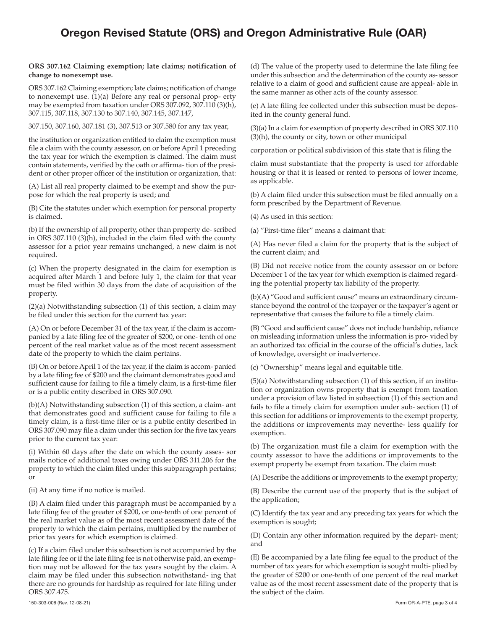# Oregon Revised Statute (ORS) and Oregon Administrative Rule (OAR)

## **ORS 307.162 Claiming exemption; late claims; notification of change to nonexempt use.**

ORS 307.162 Claiming exemption; late claims; notification of change to nonexempt use. (1)(a) Before any real or personal prop- erty may be exempted from taxation under ORS 307.092, 307.110 (3)(h), 307.115, 307.118, 307.130 to 307.140, 307.145, 307.147,

307.150, 307.160, 307.181 (3), 307.513 or 307.580 for any tax year,

the institution or organization entitled to claim the exemption must file a claim with the county assessor, on or before April 1 preceding the tax year for which the exemption is claimed. The claim must contain statements, verified by the oath or affirma- tion of the president or other proper officer of the institution or organization, that:

(A) List all real property claimed to be exempt and show the purpose for which the real property is used; and

(B) Cite the statutes under which exemption for personal property is claimed.

(b) If the ownership of all property, other than property de- scribed in ORS 307.110 (3)(h), included in the claim filed with the county assessor for a prior year remains unchanged, a new claim is not required.

(c) When the property designated in the claim for exemption is acquired after March 1 and before July 1, the claim for that year must be filed within 30 days from the date of acquisition of the property.

(2)(a) Notwithstanding subsection (1) of this section, a claim may be filed under this section for the current tax year:

(A) On or before December 31 of the tax year, if the claim is accompanied by a late filing fee of the greater of \$200, or one- tenth of one percent of the real market value as of the most recent assessment date of the property to which the claim pertains.

(B) On or before April 1 of the tax year, if the claim is accom- panied by a late filing fee of \$200 and the claimant demonstrates good and sufficient cause for failing to file a timely claim, is a first-time filer or is a public entity described in ORS 307.090.

(b)(A) Notwithstanding subsection (1) of this section, a claim- ant that demonstrates good and sufficient cause for failing to file a timely claim, is a first-time filer or is a public entity described in ORS 307.090 may file a claim under this section for the five tax years prior to the current tax year:

(i) Within 60 days after the date on which the county asses- sor mails notice of additional taxes owing under ORS 311.206 for the property to which the claim filed under this subparagraph pertains; or

(ii) At any time if no notice is mailed.

(B) A claim filed under this paragraph must be accompanied by a late filing fee of the greater of \$200, or one-tenth of one percent of the real market value as of the most recent assessment date of the property to which the claim pertains, multiplied by the number of prior tax years for which exemption is claimed.

(c) If a claim filed under this subsection is not accompanied by the late filing fee or if the late filing fee is not otherwise paid, an exemption may not be allowed for the tax years sought by the claim. A claim may be filed under this subsection notwithstand- ing that there are no grounds for hardship as required for late filing under ORS 307.475.

(d) The value of the property used to determine the late filing fee under this subsection and the determination of the county as- sessor relative to a claim of good and sufficient cause are appeal- able in the same manner as other acts of the county assessor.

(e) A late filing fee collected under this subsection must be deposited in the county general fund.

(3)(a) In a claim for exemption of property described in ORS 307.110 (3)(h), the county or city, town or other municipal

corporation or political subdivision of this state that is filing the

claim must substantiate that the property is used for affordable housing or that it is leased or rented to persons of lower income, as applicable.

(b) A claim filed under this subsection must be filed annually on a form prescribed by the Department of Revenue.

(4) As used in this section:

(a) "First-time filer" means a claimant that:

(A) Has never filed a claim for the property that is the subject of the current claim; and

(B) Did not receive notice from the county assessor on or before December 1 of the tax year for which exemption is claimed regarding the potential property tax liability of the property.

(b)(A) "Good and sufficient cause" means an extraordinary circumstance beyond the control of the taxpayer or the taxpayer's agent or representative that causes the failure to file a timely claim.

(B) "Good and sufficient cause" does not include hardship, reliance on misleading information unless the information is pro- vided by an authorized tax official in the course of the official's duties, lack of knowledge, oversight or inadvertence.

(c) "Ownership" means legal and equitable title.

(5)(a) Notwithstanding subsection (1) of this section, if an institution or organization owns property that is exempt from taxation under a provision of law listed in subsection (1) of this section and fails to file a timely claim for exemption under sub- section (1) of this section for additions or improvements to the exempt property, the additions or improvements may neverthe- less qualify for exemption.

(b) The organization must file a claim for exemption with the county assessor to have the additions or improvements to the exempt property be exempt from taxation. The claim must:

(A) Describe the additions or improvements to the exempt property;

(B) Describe the current use of the property that is the subject of the application;

(C) Identify the tax year and any preceding tax years for which the exemption is sought;

(D) Contain any other information required by the depart- ment; and

(E) Be accompanied by a late filing fee equal to the product of the number of tax years for which exemption is sought multi- plied by the greater of \$200 or one-tenth of one percent of the real market value as of the most recent assessment date of the property that is the subject of the claim.